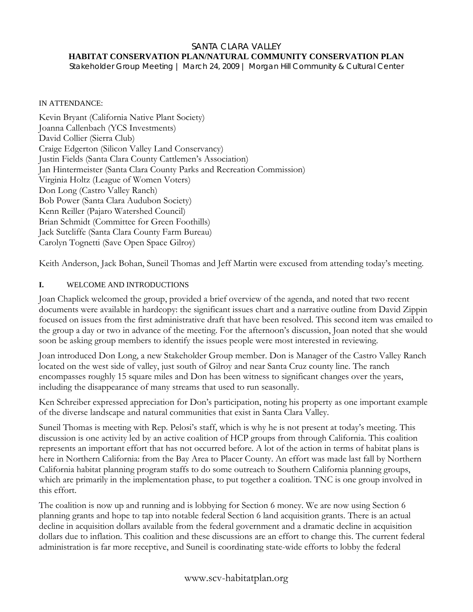#### SANTA CLARA VALLEY

### **HABITAT CONSERVATION PLAN/NATURAL COMMUNITY CONSERVATION PLAN**

*Stakeholder Group Meeting | March 24, 2009 | Morgan Hill Community & Cultural Center* 

#### IN ATTENDANCE:

Kevin Bryant (California Native Plant Society) Joanna Callenbach (YCS Investments) David Collier (Sierra Club) Craige Edgerton (Silicon Valley Land Conservancy) Justin Fields (Santa Clara County Cattlemen's Association) Jan Hintermeister (Santa Clara County Parks and Recreation Commission) Virginia Holtz (League of Women Voters) Don Long (Castro Valley Ranch) Bob Power (Santa Clara Audubon Society) Kenn Reiller (Pajaro Watershed Council) Brian Schmidt (Committee for Green Foothills) Jack Sutcliffe (Santa Clara County Farm Bureau) Carolyn Tognetti (Save Open Space Gilroy)

Keith Anderson, Jack Bohan, Suneil Thomas and Jeff Martin were excused from attending today's meeting.

### **I.** WELCOME AND INTRODUCTIONS

Joan Chaplick welcomed the group, provided a brief overview of the agenda, and noted that two recent documents were available in hardcopy: the significant issues chart and a narrative outline from David Zippin focused on issues from the first administrative draft that have been resolved. This second item was emailed to the group a day or two in advance of the meeting. For the afternoon's discussion, Joan noted that she would soon be asking group members to identify the issues people were most interested in reviewing.

Joan introduced Don Long, a new Stakeholder Group member. Don is Manager of the Castro Valley Ranch located on the west side of valley, just south of Gilroy and near Santa Cruz county line. The ranch encompasses roughly 15 square miles and Don has been witness to significant changes over the years, including the disappearance of many streams that used to run seasonally.

Ken Schreiber expressed appreciation for Don's participation, noting his property as one important example of the diverse landscape and natural communities that exist in Santa Clara Valley.

Suneil Thomas is meeting with Rep. Pelosi's staff, which is why he is not present at today's meeting. This discussion is one activity led by an active coalition of HCP groups from through California. This coalition represents an important effort that has not occurred before. A lot of the action in terms of habitat plans is here in Northern California: from the Bay Area to Placer County. An effort was made last fall by Northern California habitat planning program staffs to do some outreach to Southern California planning groups, which are primarily in the implementation phase, to put together a coalition. TNC is one group involved in this effort.

The coalition is now up and running and is lobbying for Section 6 money. We are now using Section 6 planning grants and hope to tap into notable federal Section 6 land acquisition grants. There is an actual decline in acquisition dollars available from the federal government and a dramatic decline in acquisition dollars due to inflation. This coalition and these discussions are an effort to change this. The current federal administration is far more receptive, and Suneil is coordinating state-wide efforts to lobby the federal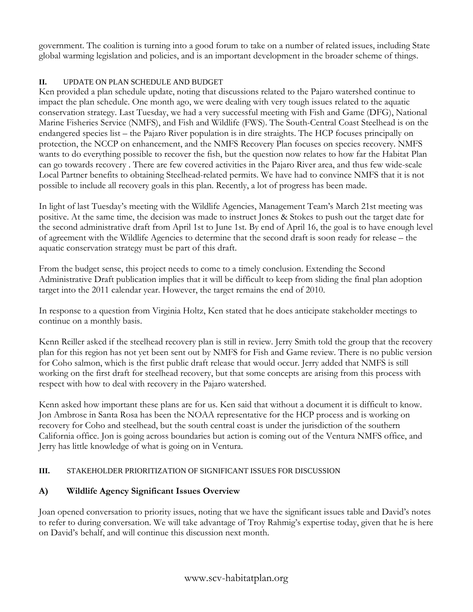government. The coalition is turning into a good forum to take on a number of related issues, including State global warming legislation and policies, and is an important development in the broader scheme of things.

### **II.** UPDATE ON PLAN SCHEDULE AND BUDGET

Ken provided a plan schedule update, noting that discussions related to the Pajaro watershed continue to impact the plan schedule. One month ago, we were dealing with very tough issues related to the aquatic conservation strategy. Last Tuesday, we had a very successful meeting with Fish and Game (DFG), National Marine Fisheries Service (NMFS), and Fish and Wildlife (FWS). The South-Central Coast Steelhead is on the endangered species list – the Pajaro River population is in dire straights. The HCP focuses principally on protection, the NCCP on enhancement, and the NMFS Recovery Plan focuses on species recovery. NMFS wants to do everything possible to recover the fish, but the question now relates to how far the Habitat Plan can go towards recovery . There are few covered activities in the Pajaro River area, and thus few wide-scale Local Partner benefits to obtaining Steelhead-related permits. We have had to convince NMFS that it is not possible to include all recovery goals in this plan. Recently, a lot of progress has been made.

In light of last Tuesday's meeting with the Wildlife Agencies, Management Team's March 21st meeting was positive. At the same time, the decision was made to instruct Jones & Stokes to push out the target date for the second administrative draft from April 1st to June 1st. By end of April 16, the goal is to have enough level of agreement with the Wildlife Agencies to determine that the second draft is soon ready for release – the aquatic conservation strategy must be part of this draft.

From the budget sense, this project needs to come to a timely conclusion. Extending the Second Administrative Draft publication implies that it will be difficult to keep from sliding the final plan adoption target into the 2011 calendar year. However, the target remains the end of 2010.

In response to a question from Virginia Holtz, Ken stated that he does anticipate stakeholder meetings to continue on a monthly basis.

Kenn Reiller asked if the steelhead recovery plan is still in review. Jerry Smith told the group that the recovery plan for this region has not yet been sent out by NMFS for Fish and Game review. There is no public version for Coho salmon, which is the first public draft release that would occur. Jerry added that NMFS is still working on the first draft for steelhead recovery, but that some concepts are arising from this process with respect with how to deal with recovery in the Pajaro watershed.

Kenn asked how important these plans are for us. Ken said that without a document it is difficult to know. Jon Ambrose in Santa Rosa has been the NOAA representative for the HCP process and is working on recovery for Coho and steelhead, but the south central coast is under the jurisdiction of the southern California office. Jon is going across boundaries but action is coming out of the Ventura NMFS office, and Jerry has little knowledge of what is going on in Ventura.

## **III.** STAKEHOLDER PRIORITIZATION OF SIGNIFICANT ISSUES FOR DISCUSSION

## **A) Wildlife Agency Significant Issues Overview**

Joan opened conversation to priority issues, noting that we have the significant issues table and David's notes to refer to during conversation. We will take advantage of Troy Rahmig's expertise today, given that he is here on David's behalf, and will continue this discussion next month.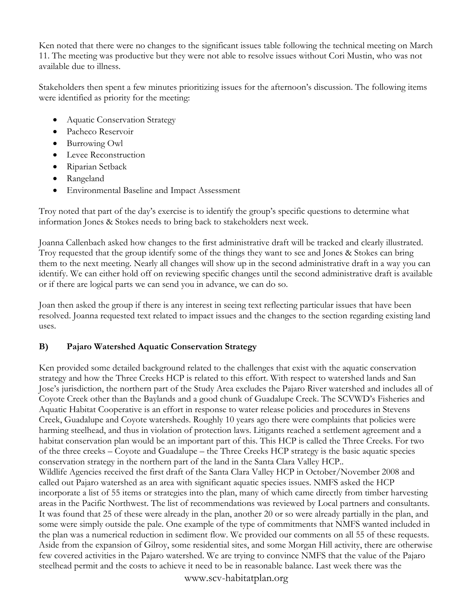Ken noted that there were no changes to the significant issues table following the technical meeting on March 11. The meeting was productive but they were not able to resolve issues without Cori Mustin, who was not available due to illness.

Stakeholders then spent a few minutes prioritizing issues for the afternoon's discussion. The following items were identified as priority for the meeting:

- Aquatic Conservation Strategy
- Pacheco Reservoir
- Burrowing Owl
- Levee Reconstruction
- Riparian Setback
- Rangeland
- Environmental Baseline and Impact Assessment

Troy noted that part of the day's exercise is to identify the group's specific questions to determine what information Jones & Stokes needs to bring back to stakeholders next week.

Joanna Callenbach asked how changes to the first administrative draft will be tracked and clearly illustrated. Troy requested that the group identify some of the things they want to see and Jones & Stokes can bring them to the next meeting. Nearly all changes will show up in the second administrative draft in a way you can identify. We can either hold off on reviewing specific changes until the second administrative draft is available or if there are logical parts we can send you in advance, we can do so.

Joan then asked the group if there is any interest in seeing text reflecting particular issues that have been resolved. Joanna requested text related to impact issues and the changes to the section regarding existing land uses.

# **B) Pajaro Watershed Aquatic Conservation Strategy**

Ken provided some detailed background related to the challenges that exist with the aquatic conservation strategy and how the Three Creeks HCP is related to this effort. With respect to watershed lands and San Jose's jurisdiction, the northern part of the Study Area excludes the Pajaro River watershed and includes all of Coyote Creek other than the Baylands and a good chunk of Guadalupe Creek. The SCVWD's Fisheries and Aquatic Habitat Cooperative is an effort in response to water release policies and procedures in Stevens Creek, Guadalupe and Coyote watersheds. Roughly 10 years ago there were complaints that policies were harming steelhead, and thus in violation of protection laws. Litigants reached a settlement agreement and a habitat conservation plan would be an important part of this. This HCP is called the Three Creeks. For two of the three creeks – Coyote and Guadalupe – the Three Creeks HCP strategy is the basic aquatic species conservation strategy in the northern part of the land in the Santa Clara Valley HCP.. Wildlife Agencies received the first draft of the Santa Clara Valley HCP in October/November 2008 and called out Pajaro watershed as an area with significant aquatic species issues. NMFS asked the HCP incorporate a list of 55 items or strategies into the plan, many of which came directly from timber harvesting areas in the Pacific Northwest. The list of recommendations was reviewed by Local partners and consultants. It was found that 25 of these were already in the plan, another 20 or so were already partially in the plan, and some were simply outside the pale. One example of the type of commitments that NMFS wanted included in the plan was a numerical reduction in sediment flow. We provided our comments on all 55 of these requests. Aside from the expansion of Gilroy, some residential sites, and some Morgan Hill activity, there are otherwise few covered activities in the Pajaro watershed. We are trying to convince NMFS that the value of the Pajaro steelhead permit and the costs to achieve it need to be in reasonable balance. Last week there was the

www.scv-habitatplan.org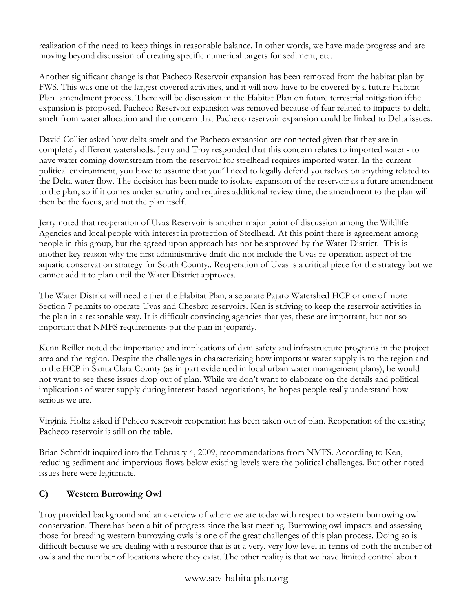realization of the need to keep things in reasonable balance. In other words, we have made progress and are moving beyond discussion of creating specific numerical targets for sediment, etc.

Another significant change is that Pacheco Reservoir expansion has been removed from the habitat plan by FWS. This was one of the largest covered activities, and it will now have to be covered by a future Habitat Plan amendment process. There will be discussion in the Habitat Plan on future terrestrial mitigation ifthe expansion is proposed. Pacheco Reservoir expansion was removed because of fear related to impacts to delta smelt from water allocation and the concern that Pacheco reservoir expansion could be linked to Delta issues.

David Collier asked how delta smelt and the Pacheco expansion are connected given that they are in completely different watersheds. Jerry and Troy responded that this concern relates to imported water - to have water coming downstream from the reservoir for steelhead requires imported water. In the current political environment, you have to assume that you'll need to legally defend yourselves on anything related to the Delta water flow. The decision has been made to isolate expansion of the reservoir as a future amendment to the plan, so if it comes under scrutiny and requires additional review time, the amendment to the plan will then be the focus, and not the plan itself.

Jerry noted that reoperation of Uvas Reservoir is another major point of discussion among the Wildlife Agencies and local people with interest in protection of Steelhead. At this point there is agreement among people in this group, but the agreed upon approach has not be approved by the Water District. This is another key reason why the first administrative draft did not include the Uvas re-operation aspect of the aquatic conservation strategy for South County.. Reoperation of Uvas is a critical piece for the strategy but we cannot add it to plan until the Water District approves.

The Water District will need either the Habitat Plan, a separate Pajaro Watershed HCP or one of more Section 7 permits to operate Uvas and Chesbro reservoirs. Ken is striving to keep the reservoir activities in the plan in a reasonable way. It is difficult convincing agencies that yes, these are important, but not so important that NMFS requirements put the plan in jeopardy.

Kenn Reiller noted the importance and implications of dam safety and infrastructure programs in the project area and the region. Despite the challenges in characterizing how important water supply is to the region and to the HCP in Santa Clara County (as in part evidenced in local urban water management plans), he would not want to see these issues drop out of plan. While we don't want to elaborate on the details and political implications of water supply during interest-based negotiations, he hopes people really understand how serious we are.

Virginia Holtz asked if Pcheco reservoir reoperation has been taken out of plan. Reoperation of the existing Pacheco reservoir is still on the table.

Brian Schmidt inquired into the February 4, 2009, recommendations from NMFS. According to Ken, reducing sediment and impervious flows below existing levels were the political challenges. But other noted issues here were legitimate.

# **C) Western Burrowing Owl**

Troy provided background and an overview of where we are today with respect to western burrowing owl conservation. There has been a bit of progress since the last meeting. Burrowing owl impacts and assessing those for breeding western burrowing owls is one of the great challenges of this plan process. Doing so is difficult because we are dealing with a resource that is at a very, very low level in terms of both the number of owls and the number of locations where they exist. The other reality is that we have limited control about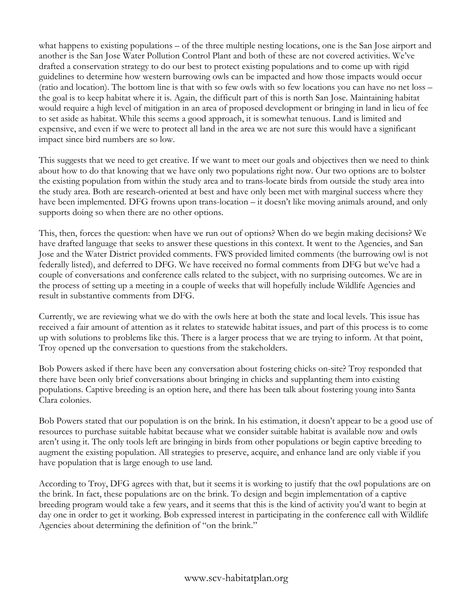what happens to existing populations – of the three multiple nesting locations, one is the San Jose airport and another is the San Jose Water Pollution Control Plant and both of these are not covered activities. We've drafted a conservation strategy to do our best to protect existing populations and to come up with rigid guidelines to determine how western burrowing owls can be impacted and how those impacts would occur (ratio and location). The bottom line is that with so few owls with so few locations you can have no net loss – the goal is to keep habitat where it is. Again, the difficult part of this is north San Jose. Maintaining habitat would require a high level of mitigation in an area of proposed development or bringing in land in lieu of fee to set aside as habitat. While this seems a good approach, it is somewhat tenuous. Land is limited and expensive, and even if we were to protect all land in the area we are not sure this would have a significant impact since bird numbers are so low.

This suggests that we need to get creative. If we want to meet our goals and objectives then we need to think about how to do that knowing that we have only two populations right now. Our two options are to bolster the existing population from within the study area and to trans-locate birds from outside the study area into the study area. Both are research-oriented at best and have only been met with marginal success where they have been implemented. DFG frowns upon trans-location – it doesn't like moving animals around, and only supports doing so when there are no other options.

This, then, forces the question: when have we run out of options? When do we begin making decisions? We have drafted language that seeks to answer these questions in this context. It went to the Agencies, and San Jose and the Water District provided comments. FWS provided limited comments (the burrowing owl is not federally listed), and deferred to DFG. We have received no formal comments from DFG but we've had a couple of conversations and conference calls related to the subject, with no surprising outcomes. We are in the process of setting up a meeting in a couple of weeks that will hopefully include Wildlife Agencies and result in substantive comments from DFG.

Currently, we are reviewing what we do with the owls here at both the state and local levels. This issue has received a fair amount of attention as it relates to statewide habitat issues, and part of this process is to come up with solutions to problems like this. There is a larger process that we are trying to inform. At that point, Troy opened up the conversation to questions from the stakeholders.

Bob Powers asked if there have been any conversation about fostering chicks on-site? Troy responded that there have been only brief conversations about bringing in chicks and supplanting them into existing populations. Captive breeding is an option here, and there has been talk about fostering young into Santa Clara colonies.

Bob Powers stated that our population is on the brink. In his estimation, it doesn't appear to be a good use of resources to purchase suitable habitat because what we consider suitable habitat is available now and owls aren't using it. The only tools left are bringing in birds from other populations or begin captive breeding to augment the existing population. All strategies to preserve, acquire, and enhance land are only viable if you have population that is large enough to use land.

According to Troy, DFG agrees with that, but it seems it is working to justify that the owl populations are on the brink. In fact, these populations are on the brink. To design and begin implementation of a captive breeding program would take a few years, and it seems that this is the kind of activity you'd want to begin at day one in order to get it working. Bob expressed interest in participating in the conference call with Wildlife Agencies about determining the definition of "on the brink."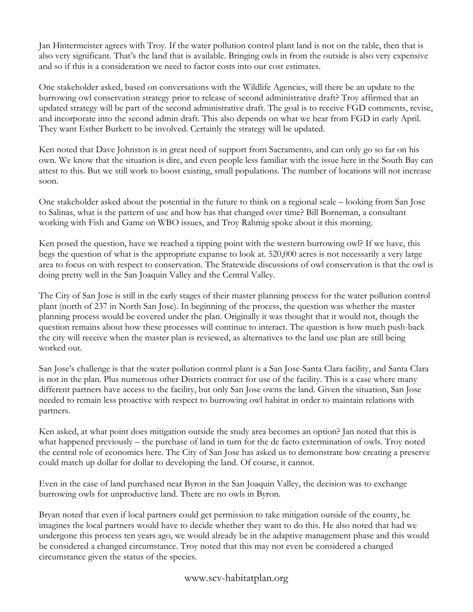Jan Hintermeister agrees with Troy. If the water pollution control plant land is not on the table, then that is also very significant. That's the land that is available. Bringing owls in from the outside is also very expensive and so if this is a consideration we need to factor costs into our cost estimates.

One stakeholder asked, based on conversations with the Wildlife Agencies, will there be an update to the burrowing owl conservation strategy prior to release of second administrative draft? Troy affirmed that an updated strategy will be part of the second administrative draft. The goal is to receive FGD comments, revise, and incorporate into the second admin draft. This also depends on what we hear from FGD in early April. They want Esther Burkett to be involved. Certainly the strategy will be updated.

Ken noted that Dave Johnston is in great need of support from Sacramento, and can only go so far on his own. We know that the situation is dire, and even people less familiar with the issue here in the South Bay can attest to this. But we still work to boost existing, small populations. The number of locations will not increase soon.

One stakeholder asked about the potential in the future to think on a regional scale – looking from San Jose to Salinas, what is the pattern of use and how has that changed over time? Bill Borneman, a consultant working with Fish and Game on WBO issues, and Troy Rahmig spoke about it this morning.

Ken posed the question, have we reached a tipping point with the western burrowing owl? If we have, this begs the question of what is the appropriate expanse to look at. 520,000 acres is not necessarily a very large area to focus on with respect to conservation. The Statewide discussions of owl conservation is that the owl is doing pretty well in the San Joaquin Valley and the Central Valley.

The City of San Jose is still in the early stages of their master planning process for the water pollution control plant (north of 237 in North San Jose). In beginning of the process, the question was whether the master planning process would be covered under the plan. Originally it was thought that it would not, though the question remains about how these processes will continue to interact. The question is how much push-back the city will receive when the master plan is reviewed, as alternatives to the land use plan are still being worked out.

San Jose's challenge is that the water pollution control plant is a San Jose-Santa Clara facility, and Santa Clara is not in the plan. Plus numerous other Districts contract for use of the facility. This is a case where many different partners have access to the facility, but only San Jose owns the land. Given the situation, San Jose needed to remain less proactive with respect to burrowing owl habitat in order to maintain relations with partners.

Ken asked, at what point does mitigation outside the study area becomes an option? Jan noted that this is what happened previously – the purchase of land in turn for the de facto extermination of owls. Troy noted the central role of economics here. The City of San Jose has asked us to demonstrate how creating a preserve could match up dollar for dollar to developing the land. Of course, it cannot.

Even in the case of land purchased near Byron in the San Joaquin Valley, the decision was to exchange burrowing owls for unproductive land. There are no owls in Byron.

Bryan noted that even if local partners could get permission to take mitigation outside of the county, he imagines the local partners would have to decide whether they want to do this. He also noted that had we undergone this process ten years ago, we would already be in the adaptive management phase and this would be considered a changed circumstance. Troy noted that this may not even be considered a changed circumstance given the status of the species.

www.scv-habitatplan.org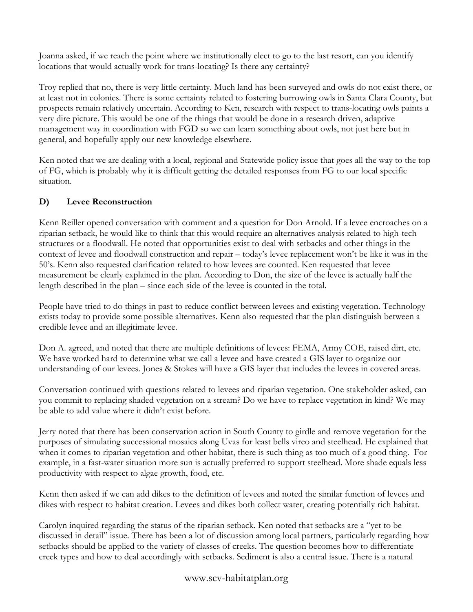Joanna asked, if we reach the point where we institutionally elect to go to the last resort, can you identify locations that would actually work for trans-locating? Is there any certainty?

Troy replied that no, there is very little certainty. Much land has been surveyed and owls do not exist there, or at least not in colonies. There is some certainty related to fostering burrowing owls in Santa Clara County, but prospects remain relatively uncertain. According to Ken, research with respect to trans-locating owls paints a very dire picture. This would be one of the things that would be done in a research driven, adaptive management way in coordination with FGD so we can learn something about owls, not just here but in general, and hopefully apply our new knowledge elsewhere.

Ken noted that we are dealing with a local, regional and Statewide policy issue that goes all the way to the top of FG, which is probably why it is difficult getting the detailed responses from FG to our local specific situation.

# **D) Levee Reconstruction**

Kenn Reiller opened conversation with comment and a question for Don Arnold. If a levee encroaches on a riparian setback, he would like to think that this would require an alternatives analysis related to high-tech structures or a floodwall. He noted that opportunities exist to deal with setbacks and other things in the context of levee and floodwall construction and repair – today's levee replacement won't be like it was in the 50's. Kenn also requested clarification related to how levees are counted. Ken requested that levee measurement be clearly explained in the plan. According to Don, the size of the levee is actually half the length described in the plan – since each side of the levee is counted in the total.

People have tried to do things in past to reduce conflict between levees and existing vegetation. Technology exists today to provide some possible alternatives. Kenn also requested that the plan distinguish between a credible levee and an illegitimate levee.

Don A. agreed, and noted that there are multiple definitions of levees: FEMA, Army COE, raised dirt, etc. We have worked hard to determine what we call a levee and have created a GIS layer to organize our understanding of our levees. Jones & Stokes will have a GIS layer that includes the levees in covered areas.

Conversation continued with questions related to levees and riparian vegetation. One stakeholder asked, can you commit to replacing shaded vegetation on a stream? Do we have to replace vegetation in kind? We may be able to add value where it didn't exist before.

Jerry noted that there has been conservation action in South County to girdle and remove vegetation for the purposes of simulating successional mosaics along Uvas for least bells vireo and steelhead. He explained that when it comes to riparian vegetation and other habitat, there is such thing as too much of a good thing. For example, in a fast-water situation more sun is actually preferred to support steelhead. More shade equals less productivity with respect to algae growth, food, etc.

Kenn then asked if we can add dikes to the definition of levees and noted the similar function of levees and dikes with respect to habitat creation. Levees and dikes both collect water, creating potentially rich habitat.

Carolyn inquired regarding the status of the riparian setback. Ken noted that setbacks are a "yet to be discussed in detail" issue. There has been a lot of discussion among local partners, particularly regarding how setbacks should be applied to the variety of classes of creeks. The question becomes how to differentiate creek types and how to deal accordingly with setbacks. Sediment is also a central issue. There is a natural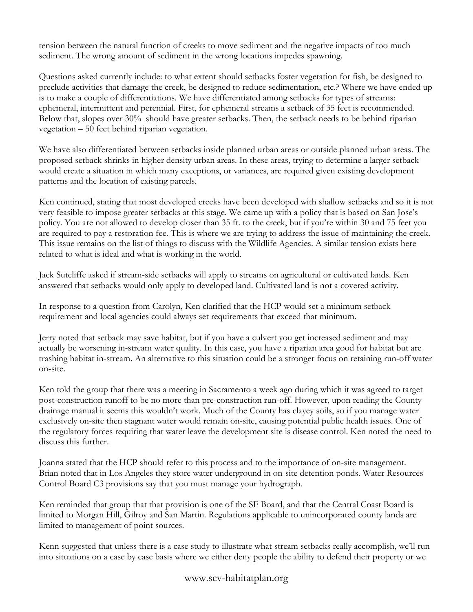tension between the natural function of creeks to move sediment and the negative impacts of too much sediment. The wrong amount of sediment in the wrong locations impedes spawning.

Questions asked currently include: to what extent should setbacks foster vegetation for fish, be designed to preclude activities that damage the creek, be designed to reduce sedimentation, etc.? Where we have ended up is to make a couple of differentiations. We have differentiated among setbacks for types of streams: ephemeral, intermittent and perennial. First, for ephemeral streams a setback of 35 feet is recommended. Below that, slopes over 30% should have greater setbacks. Then, the setback needs to be behind riparian vegetation – 50 feet behind riparian vegetation.

We have also differentiated between setbacks inside planned urban areas or outside planned urban areas. The proposed setback shrinks in higher density urban areas. In these areas, trying to determine a larger setback would create a situation in which many exceptions, or variances, are required given existing development patterns and the location of existing parcels.

Ken continued, stating that most developed creeks have been developed with shallow setbacks and so it is not very feasible to impose greater setbacks at this stage. We came up with a policy that is based on San Jose's policy. You are not allowed to develop closer than 35 ft. to the creek, but if you're within 30 and 75 feet you are required to pay a restoration fee. This is where we are trying to address the issue of maintaining the creek. This issue remains on the list of things to discuss with the Wildlife Agencies. A similar tension exists here related to what is ideal and what is working in the world.

Jack Sutcliffe asked if stream-side setbacks will apply to streams on agricultural or cultivated lands. Ken answered that setbacks would only apply to developed land. Cultivated land is not a covered activity.

In response to a question from Carolyn, Ken clarified that the HCP would set a minimum setback requirement and local agencies could always set requirements that exceed that minimum.

Jerry noted that setback may save habitat, but if you have a culvert you get increased sediment and may actually be worsening in-stream water quality. In this case, you have a riparian area good for habitat but are trashing habitat in-stream. An alternative to this situation could be a stronger focus on retaining run-off water on-site.

Ken told the group that there was a meeting in Sacramento a week ago during which it was agreed to target post-construction runoff to be no more than pre-construction run-off. However, upon reading the County drainage manual it seems this wouldn't work. Much of the County has clayey soils, so if you manage water exclusively on-site then stagnant water would remain on-site, causing potential public health issues. One of the regulatory forces requiring that water leave the development site is disease control. Ken noted the need to discuss this further.

Joanna stated that the HCP should refer to this process and to the importance of on-site management. Brian noted that in Los Angeles they store water underground in on-site detention ponds. Water Resources Control Board C3 provisions say that you must manage your hydrograph.

Ken reminded that group that that provision is one of the SF Board, and that the Central Coast Board is limited to Morgan Hill, Gilroy and San Martin. Regulations applicable to unincorporated county lands are limited to management of point sources.

Kenn suggested that unless there is a case study to illustrate what stream setbacks really accomplish, we'll run into situations on a case by case basis where we either deny people the ability to defend their property or we

www.scv-habitatplan.org